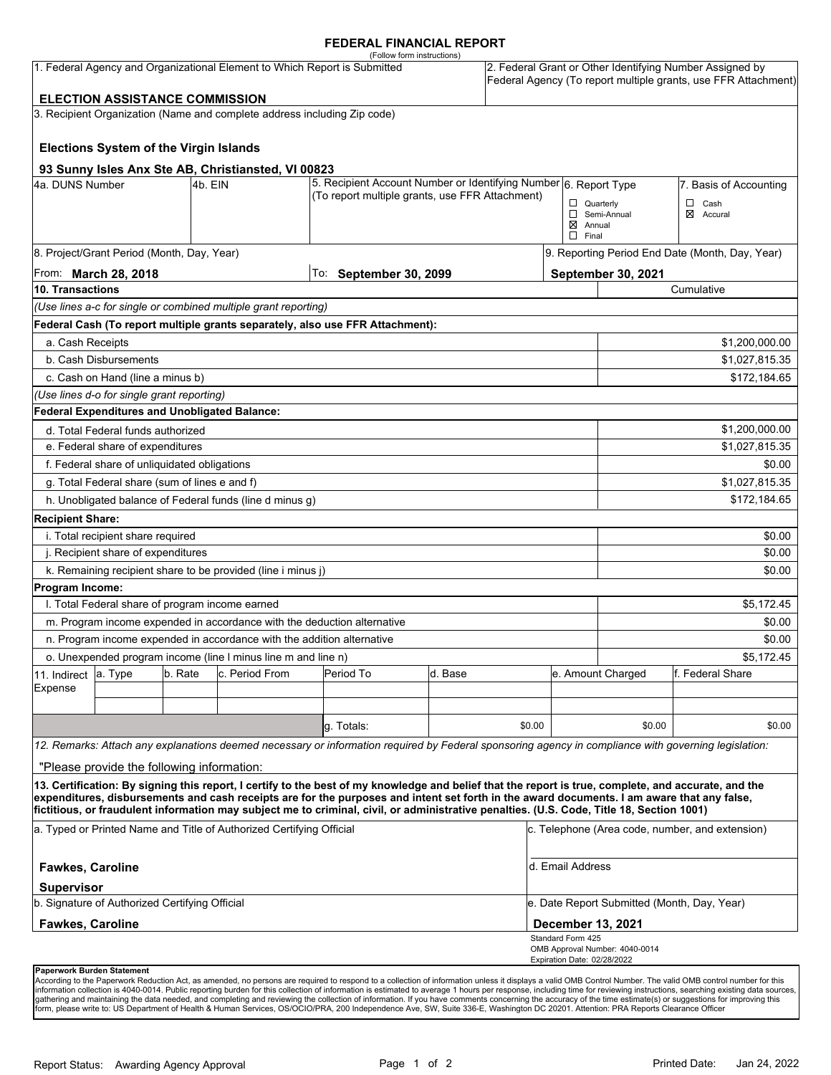#### **FEDERAL FINANCIAL REPORT**

|                                   |                                                      |         |                                                                          | (Follow form instructions)                                                                                                                                                                                                                                                              |         |        |                             |                                             |                                                                                                                            |  |
|-----------------------------------|------------------------------------------------------|---------|--------------------------------------------------------------------------|-----------------------------------------------------------------------------------------------------------------------------------------------------------------------------------------------------------------------------------------------------------------------------------------|---------|--------|-----------------------------|---------------------------------------------|----------------------------------------------------------------------------------------------------------------------------|--|
|                                   |                                                      |         |                                                                          | 1. Federal Agency and Organizational Element to Which Report is Submitted                                                                                                                                                                                                               |         |        |                             |                                             | 2. Federal Grant or Other Identifying Number Assigned by<br>Federal Agency (To report multiple grants, use FFR Attachment) |  |
|                                   | <b>ELECTION ASSISTANCE COMMISSION</b>                |         |                                                                          |                                                                                                                                                                                                                                                                                         |         |        |                             |                                             |                                                                                                                            |  |
|                                   |                                                      |         | 3. Recipient Organization (Name and complete address including Zip code) |                                                                                                                                                                                                                                                                                         |         |        |                             |                                             |                                                                                                                            |  |
|                                   |                                                      |         |                                                                          |                                                                                                                                                                                                                                                                                         |         |        |                             |                                             |                                                                                                                            |  |
|                                   | <b>Elections System of the Virgin Islands</b>        |         |                                                                          |                                                                                                                                                                                                                                                                                         |         |        |                             |                                             |                                                                                                                            |  |
|                                   |                                                      |         | 93 Sunny Isles Anx Ste AB, Christiansted, VI 00823                       |                                                                                                                                                                                                                                                                                         |         |        |                             |                                             |                                                                                                                            |  |
| 4a. DUNS Number                   |                                                      | 4b. EIN |                                                                          | 5. Recipient Account Number or Identifying Number 6. Report Type                                                                                                                                                                                                                        |         |        |                             |                                             | 7. Basis of Accounting                                                                                                     |  |
|                                   |                                                      |         |                                                                          | (To report multiple grants, use FFR Attachment)                                                                                                                                                                                                                                         |         |        | $\Box$ Quarterly            |                                             | $\Box$<br>Cash                                                                                                             |  |
|                                   |                                                      |         |                                                                          |                                                                                                                                                                                                                                                                                         |         |        | $\boxtimes$ Annual          | Semi-Annual                                 | ⊠<br>Accural                                                                                                               |  |
|                                   |                                                      |         |                                                                          |                                                                                                                                                                                                                                                                                         |         |        | $\Box$ Final                |                                             |                                                                                                                            |  |
|                                   | 8. Project/Grant Period (Month, Day, Year)           |         |                                                                          |                                                                                                                                                                                                                                                                                         |         |        |                             |                                             | 9. Reporting Period End Date (Month, Day, Year)                                                                            |  |
|                                   | From: <b>March 28, 2018</b>                          |         |                                                                          | To: September 30, 2099                                                                                                                                                                                                                                                                  |         |        |                             | September 30, 2021                          |                                                                                                                            |  |
| 10. Transactions                  |                                                      |         |                                                                          |                                                                                                                                                                                                                                                                                         |         |        |                             |                                             | Cumulative                                                                                                                 |  |
|                                   |                                                      |         | (Use lines a-c for single or combined multiple grant reporting)          |                                                                                                                                                                                                                                                                                         |         |        |                             |                                             |                                                                                                                            |  |
|                                   |                                                      |         |                                                                          | Federal Cash (To report multiple grants separately, also use FFR Attachment):                                                                                                                                                                                                           |         |        |                             |                                             |                                                                                                                            |  |
| a. Cash Receipts                  |                                                      |         |                                                                          |                                                                                                                                                                                                                                                                                         |         |        |                             |                                             | \$1,200,000.00                                                                                                             |  |
|                                   | b. Cash Disbursements                                |         |                                                                          |                                                                                                                                                                                                                                                                                         |         |        |                             |                                             | \$1,027,815.35                                                                                                             |  |
|                                   | c. Cash on Hand (line a minus b)                     |         |                                                                          |                                                                                                                                                                                                                                                                                         |         |        |                             |                                             | \$172,184.65                                                                                                               |  |
|                                   | (Use lines d-o for single grant reporting)           |         |                                                                          |                                                                                                                                                                                                                                                                                         |         |        |                             |                                             |                                                                                                                            |  |
|                                   | <b>Federal Expenditures and Unobligated Balance:</b> |         |                                                                          |                                                                                                                                                                                                                                                                                         |         |        |                             |                                             |                                                                                                                            |  |
|                                   | d. Total Federal funds authorized                    |         |                                                                          |                                                                                                                                                                                                                                                                                         |         |        |                             |                                             | \$1,200,000.00                                                                                                             |  |
|                                   | e. Federal share of expenditures                     |         |                                                                          |                                                                                                                                                                                                                                                                                         |         |        |                             |                                             | \$1,027,815.35                                                                                                             |  |
|                                   | f. Federal share of unliquidated obligations         |         |                                                                          |                                                                                                                                                                                                                                                                                         |         |        |                             |                                             | \$0.00                                                                                                                     |  |
|                                   | g. Total Federal share (sum of lines e and f)        |         |                                                                          |                                                                                                                                                                                                                                                                                         |         |        |                             |                                             | \$1,027,815.35                                                                                                             |  |
|                                   |                                                      |         | h. Unobligated balance of Federal funds (line d minus g)                 |                                                                                                                                                                                                                                                                                         |         |        |                             |                                             | \$172,184.65                                                                                                               |  |
| <b>Recipient Share:</b>           |                                                      |         |                                                                          |                                                                                                                                                                                                                                                                                         |         |        |                             |                                             |                                                                                                                            |  |
|                                   | i. Total recipient share required                    |         |                                                                          |                                                                                                                                                                                                                                                                                         |         |        |                             |                                             | \$0.00                                                                                                                     |  |
|                                   | j. Recipient share of expenditures                   |         |                                                                          |                                                                                                                                                                                                                                                                                         |         |        |                             |                                             | \$0.00                                                                                                                     |  |
|                                   |                                                      |         | k. Remaining recipient share to be provided (line i minus j)             |                                                                                                                                                                                                                                                                                         |         |        |                             |                                             | \$0.00                                                                                                                     |  |
| Program Income:                   |                                                      |         |                                                                          |                                                                                                                                                                                                                                                                                         |         |        |                             |                                             |                                                                                                                            |  |
|                                   | I. Total Federal share of program income earned      |         |                                                                          |                                                                                                                                                                                                                                                                                         |         |        |                             |                                             | \$5,172.45                                                                                                                 |  |
|                                   |                                                      |         |                                                                          | m. Program income expended in accordance with the deduction alternative                                                                                                                                                                                                                 |         |        |                             |                                             | \$0.00                                                                                                                     |  |
|                                   |                                                      |         | n. Program income expended in accordance with the addition alternative   |                                                                                                                                                                                                                                                                                         |         |        |                             |                                             | \$0.00                                                                                                                     |  |
|                                   |                                                      |         | o. Unexpended program income (line I minus line m and line n)            |                                                                                                                                                                                                                                                                                         |         |        |                             |                                             | \$5,172.45                                                                                                                 |  |
| 11. Indirect                      | a. Type                                              | b. Rate | c. Period From                                                           | Period To                                                                                                                                                                                                                                                                               | d. Base |        |                             | e. Amount Charged                           | f. Federal Share                                                                                                           |  |
| Expense                           |                                                      |         |                                                                          |                                                                                                                                                                                                                                                                                         |         |        |                             |                                             |                                                                                                                            |  |
|                                   |                                                      |         |                                                                          |                                                                                                                                                                                                                                                                                         |         |        |                             |                                             |                                                                                                                            |  |
|                                   |                                                      |         |                                                                          | g. Totals:                                                                                                                                                                                                                                                                              |         | \$0.00 |                             | \$0.00                                      | \$0.00                                                                                                                     |  |
|                                   |                                                      |         |                                                                          | 12. Remarks: Attach any explanations deemed necessary or information required by Federal sponsoring agency in compliance with governing legislation:                                                                                                                                    |         |        |                             |                                             |                                                                                                                            |  |
|                                   | "Please provide the following information:           |         |                                                                          |                                                                                                                                                                                                                                                                                         |         |        |                             |                                             |                                                                                                                            |  |
|                                   |                                                      |         |                                                                          | 13. Certification: By signing this report, I certify to the best of my knowledge and belief that the report is true, complete, and accurate, and the                                                                                                                                    |         |        |                             |                                             |                                                                                                                            |  |
|                                   |                                                      |         |                                                                          | expenditures, disbursements and cash receipts are for the purposes and intent set forth in the award documents. I am aware that any false,<br>fictitious, or fraudulent information may subject me to criminal, civil, or administrative penalties. (U.S. Code, Title 18, Section 1001) |         |        |                             |                                             |                                                                                                                            |  |
|                                   |                                                      |         | a. Typed or Printed Name and Title of Authorized Certifying Official     |                                                                                                                                                                                                                                                                                         |         |        |                             |                                             | c. Telephone (Area code, number, and extension)                                                                            |  |
| <b>Fawkes, Caroline</b>           |                                                      |         |                                                                          |                                                                                                                                                                                                                                                                                         |         |        | d. Email Address            |                                             |                                                                                                                            |  |
| <b>Supervisor</b>                 | b. Signature of Authorized Certifying Official       |         |                                                                          |                                                                                                                                                                                                                                                                                         |         |        |                             | e. Date Report Submitted (Month, Day, Year) |                                                                                                                            |  |
| <b>Fawkes, Caroline</b>           |                                                      |         |                                                                          |                                                                                                                                                                                                                                                                                         |         |        | <b>December 13, 2021</b>    |                                             |                                                                                                                            |  |
|                                   |                                                      |         |                                                                          |                                                                                                                                                                                                                                                                                         |         |        | Standard Form 425           |                                             |                                                                                                                            |  |
|                                   |                                                      |         |                                                                          |                                                                                                                                                                                                                                                                                         |         |        |                             | OMB Approval Number: 4040-0014              |                                                                                                                            |  |
| <b>Dononuork Durdon Ctotomont</b> |                                                      |         |                                                                          |                                                                                                                                                                                                                                                                                         |         |        | Expiration Date: 02/28/2022 |                                             |                                                                                                                            |  |

**Paperwork Burden Statement**<br>According to the Paperwork Reduction Act, as amended, no persons are required to respond to a collection of information unless it displays a valid OMB Control Number. The valid OMB control numb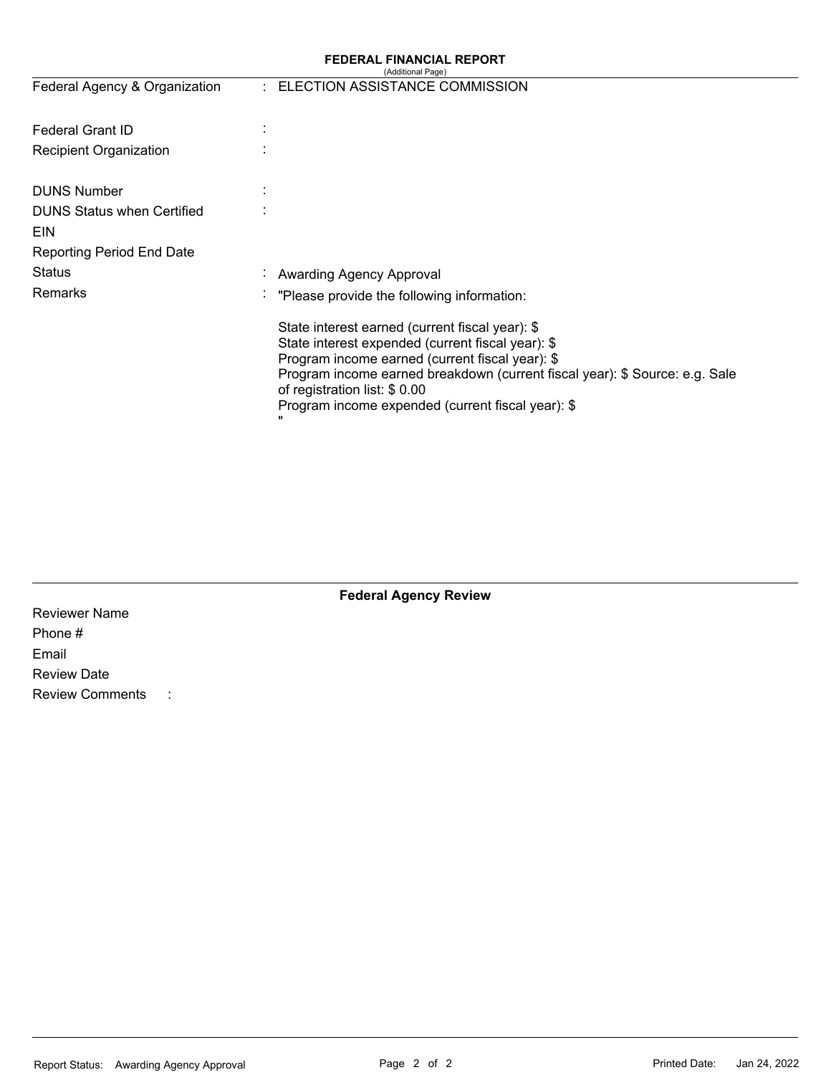### **FEDERAL FINANCIAL REPORT**

|                                   |              | (Additional Page)                                                                                                                                                                                                                                                                                                            |
|-----------------------------------|--------------|------------------------------------------------------------------------------------------------------------------------------------------------------------------------------------------------------------------------------------------------------------------------------------------------------------------------------|
| Federal Agency & Organization     |              | : ELECTION ASSISTANCE COMMISSION                                                                                                                                                                                                                                                                                             |
| <b>Federal Grant ID</b>           |              |                                                                                                                                                                                                                                                                                                                              |
| Recipient Organization            |              |                                                                                                                                                                                                                                                                                                                              |
| <b>DUNS Number</b>                |              |                                                                                                                                                                                                                                                                                                                              |
| <b>DUNS Status when Certified</b> |              |                                                                                                                                                                                                                                                                                                                              |
| <b>EIN</b>                        |              |                                                                                                                                                                                                                                                                                                                              |
| <b>Reporting Period End Date</b>  |              |                                                                                                                                                                                                                                                                                                                              |
| Status                            |              | Awarding Agency Approval                                                                                                                                                                                                                                                                                                     |
| <b>Remarks</b>                    | ٠            | "Please provide the following information:                                                                                                                                                                                                                                                                                   |
|                                   | $\mathbf{H}$ | State interest earned (current fiscal year): \$<br>State interest expended (current fiscal year): \$<br>Program income earned (current fiscal year): \$<br>Program income earned breakdown (current fiscal year): \$ Source: e.g. Sale<br>of registration list: \$ 0.00<br>Program income expended (current fiscal year): \$ |

| <b>Federal Agency Review</b>        |  |  |  |  |  |  |  |
|-------------------------------------|--|--|--|--|--|--|--|
| <b>Reviewer Name</b>                |  |  |  |  |  |  |  |
| Phone #                             |  |  |  |  |  |  |  |
| Email                               |  |  |  |  |  |  |  |
| <b>Review Date</b>                  |  |  |  |  |  |  |  |
| <b>Review Comments</b><br>$\sim$ 1. |  |  |  |  |  |  |  |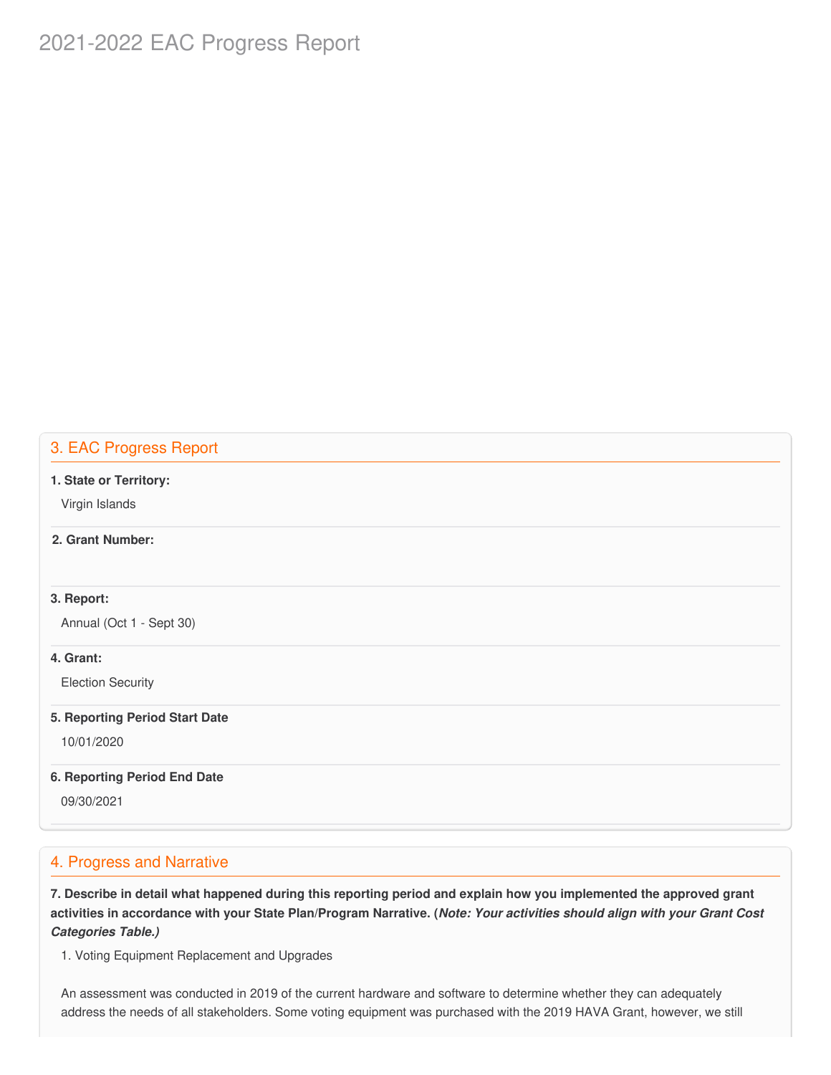# 2021-2022 EAC Progress Report

### 3. EAC Progress Report

#### **1. State or Territory:**

Virgin Islands

### **2. Grant Number:**

#### **3. Report:**

Annual (Oct 1 - Sept 30)

#### **4. Grant:**

Election Security

#### **5. Reporting Period Start Date**

10/01/2020

#### **6. Reporting Period End Date**

09/30/2021

### 4. Progress and Narrative

7. Describe in detail what happened during this reporting period and explain how you implemented the approved grant activities in accordance with your State Plan/Program Narrative. (*Note: Your activities should align with your Grant Cost Categories Table.)*

1. Voting Equipment Replacement and Upgrades

 An assessment was conducted in 2019 of the current hardware and software to determine whether they can adequately address the needs of all stakeholders. Some voting equipment was purchased with the 2019 HAVA Grant, however, we still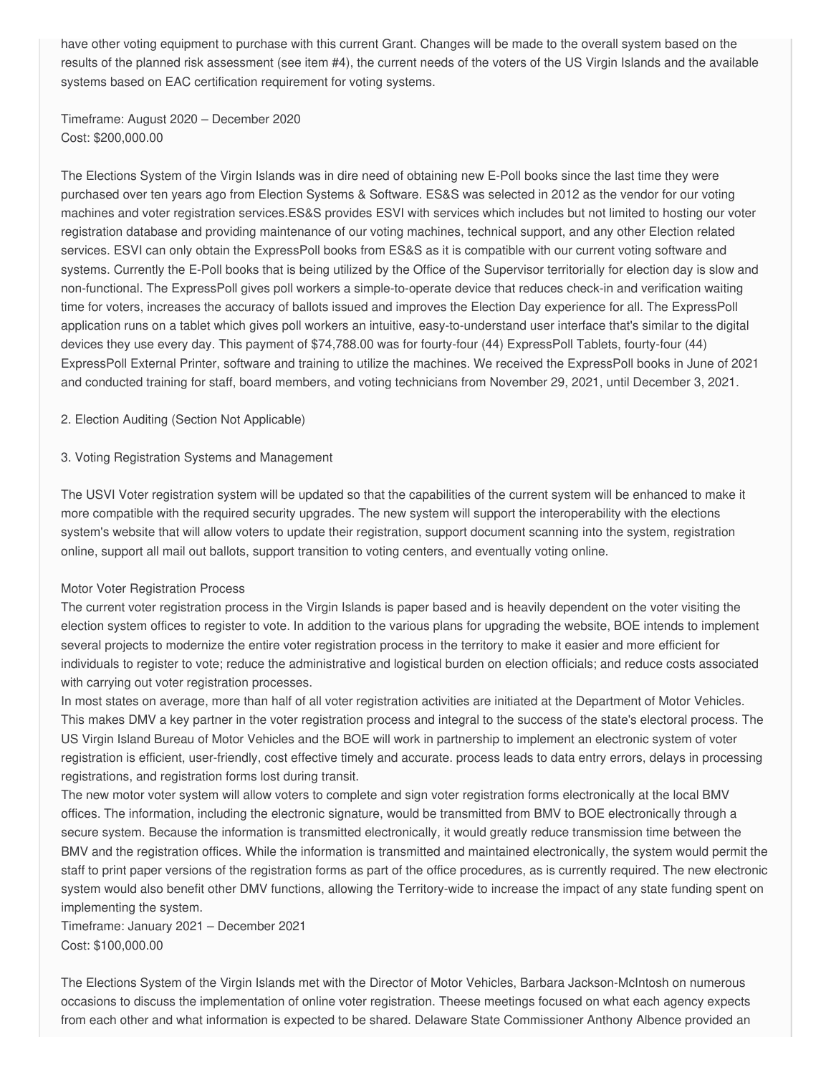have other voting equipment to purchase with this current Grant. Changes will be made to the overall system based on the results of the planned risk assessment (see item #4), the current needs of the voters of the US Virgin Islands and the available systems based on EAC certification requirement for voting systems.

 Timeframe: August 2020 – December 2020 Cost: [\\$200,000.00](https://200,000.00)

 The Elections System of the Virgin Islands was in dire need of obtaining new E-Poll books since the last time they were purchased over ten years ago from Election Systems & Software. ES&S was selected in 2012 as the vendor for our voting machines and voter registration services.ES&S provides ESVI with services which includes but not limited to hosting our voter registration database and providing maintenance of our voting machines, technical support, and any other Election related services. ESVI can only obtain the ExpressPoll books from ES&S as it is compatible with our current voting software and systems. Currently the E-Poll books that is being utilized by the Office of the Supervisor territorially for election day is slow and non-functional. The ExpressPoll gives poll workers a simple-to-operate device that reduces check-in and verification waiting time for voters, increases the accuracy of ballots issued and improves the Election Day experience for all. The ExpressPoll application runs on a tablet which gives poll workers an intuitive, easy-to-understand user interface that's similar to the digital devices they use every day. This payment of [\\$74,788.00](https://74,788.00) was for fourty-four (44) ExpressPoll Tablets, fourty-four (44) ExpressPoll External Printer, software and training to utilize the machines. We received the ExpressPoll books in June of 2021 and conducted training for staff, board members, and voting technicians from November 29, 2021, until December 3, 2021.

2. Election Auditing (Section Not Applicable)

#### 3. Voting Registration Systems and Management

 The USVI Voter registration system will be updated so that the capabilities of the current system will be enhanced to make it more compatible with the required security upgrades. The new system will support the interoperability with the elections system's website that will allow voters to update their registration, support document scanning into the system, registration online, support all mail out ballots, support transition to voting centers, and eventually voting online.

#### Motor Voter Registration Process

 The current voter registration process in the Virgin Islands is paper based and is heavily dependent on the voter visiting the election system offices to register to vote. In addition to the various plans for upgrading the website, BOE intends to implement several projects to modernize the entire voter registration process in the territory to make it easier and more efficient for individuals to register to vote; reduce the administrative and logistical burden on election officials; and reduce costs associated with carrying out voter registration processes.

 In most states on average, more than half of all voter registration activities are initiated at the Department of Motor Vehicles. This makes DMV a key partner in the voter registration process and integral to the success of the state's electoral process. The US Virgin Island Bureau of Motor Vehicles and the BOE will work in partnership to implement an electronic system of voter registration is efficient, user-friendly, cost effective timely and accurate. process leads to data entry errors, delays in processing registrations, and registration forms lost during transit.

 The new motor voter system will allow voters to complete and sign voter registration forms electronically at the local BMV offices. The information, including the electronic signature, would be transmitted from BMV to BOE electronically through a secure system. Because the information is transmitted electronically, it would greatly reduce transmission time between the BMV and the registration offices. While the information is transmitted and maintained electronically, the system would permit the staff to print paper versions of the registration forms as part of the office procedures, as is currently required. The new electronic system would also benefit other DMV functions, allowing the Territory-wide to increase the impact of any state funding spent on implementing the system.

 Timeframe: January 2021 – December 2021 Cost: [\\$100,000.00](https://100,000.00)

 The Elections System of the Virgin Islands met with the Director of Motor Vehicles, Barbara Jackson-McIntosh on numerous occasions to discuss the implementation of online voter registration. Theese meetings focused on what each agency expects from each other and what information is expected to be shared. Delaware State Commissioner Anthony Albence provided an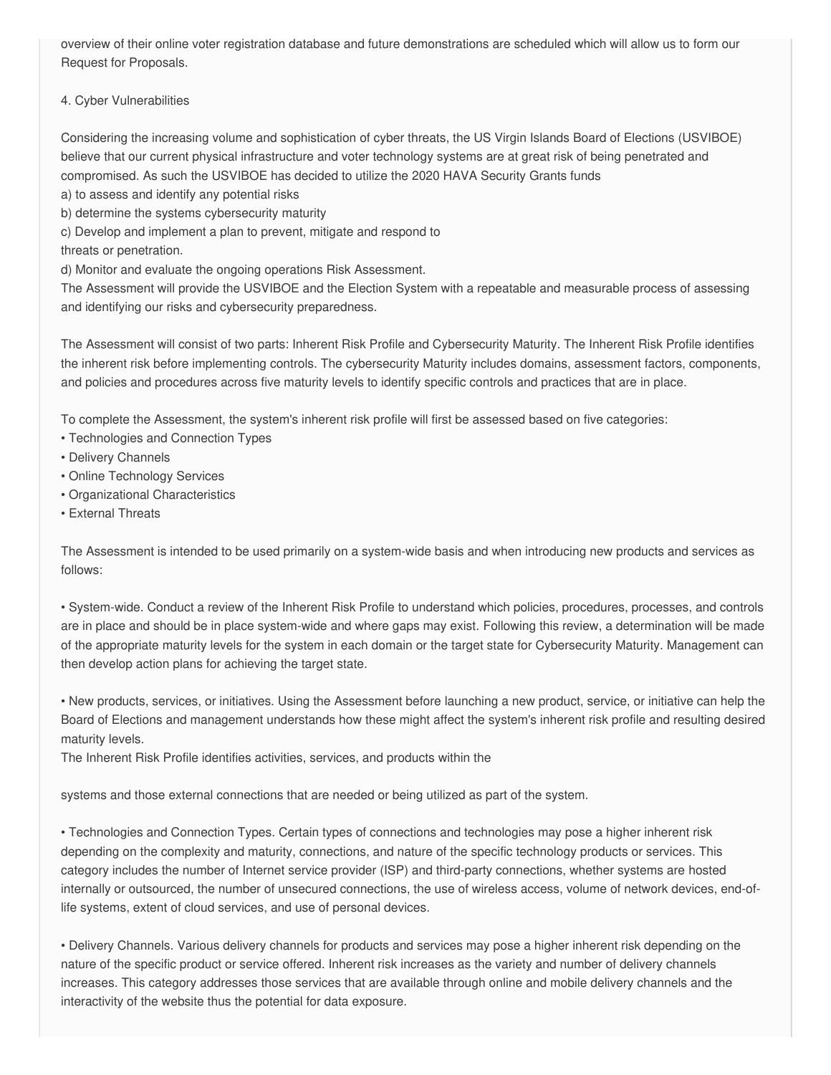overview of their online voter registration database and future demonstrations are scheduled which will allow us to form our Request for Proposals.

#### 4. Cyber Vulnerabilities

 Considering the increasing volume and sophistication of cyber threats, the US Virgin Islands Board of Elections (USVIBOE) believe that our current physical infrastructure and voter technology systems are at great risk of being penetrated and compromised. As such the USVIBOE has decided to utilize the 2020 HAVA Security Grants funds

- a) to assess and identify any potential risks
- b) determine the systems cybersecurity maturity
- c) Develop and implement a plan to prevent, mitigate and respond to
- threats or penetration.

d) Monitor and evaluate the ongoing operations Risk Assessment.

 The Assessment will provide the USVIBOE and the Election System with a repeatable and measurable process of assessing and identifying our risks and cybersecurity preparedness.

 The Assessment will consist of two parts: Inherent Risk Profile and Cybersecurity Maturity. The Inherent Risk Profile identifies the inherent risk before implementing controls. The cybersecurity Maturity includes domains, assessment factors, components, and policies and procedures across five maturity levels to identify specific controls and practices that are in place.

To complete the Assessment, the system's inherent risk profile will first be assessed based on five categories:

- Technologies and Connection Types
- Delivery Channels
- Online Technology Services
- Organizational Characteristics
- External Threats

 The Assessment is intended to be used primarily on a system-wide basis and when introducing new products and services as follows:

 • System-wide. Conduct a review of the Inherent Risk Profile to understand which policies, procedures, processes, and controls are in place and should be in place system-wide and where gaps may exist. Following this review, a determination will be made of the appropriate maturity levels for the system in each domain or the target state for Cybersecurity Maturity. Management can then develop action plans for achieving the target state.

 • New products, services, or initiatives. Using the Assessment before launching a new product, service, or initiative can help the Board of Elections and management understands how these might affect the system's inherent risk profile and resulting desired maturity levels.

The Inherent Risk Profile identifies activities, services, and products within the

systems and those external connections that are needed or being utilized as part of the system.

 • Technologies and Connection Types. Certain types of connections and technologies may pose a higher inherent risk depending on the complexity and maturity, connections, and nature of the specific technology products or services. This category includes the number of Internet service provider (ISP) and third-party connections, whether systems are hosted internally or outsourced, the number of unsecured connections, the use of wireless access, volume of network devices, end-of-life systems, extent of cloud services, and use of personal devices.

 • Delivery Channels. Various delivery channels for products and services may pose a higher inherent risk depending on the nature of the specific product or service offered. Inherent risk increases as the variety and number of delivery channels increases. This category addresses those services that are available through online and mobile delivery channels and the interactivity of the website thus the potential for data exposure.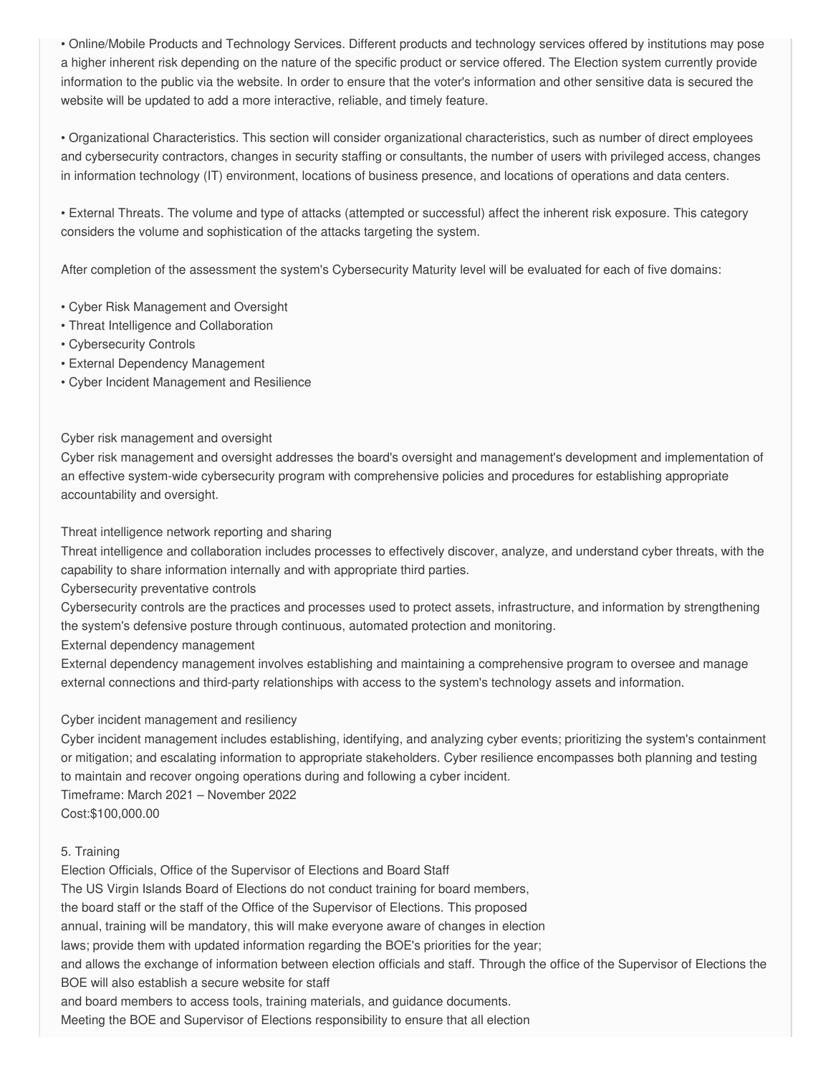• Online/Mobile Products and Technology Services. Different products and technology services offered by institutions may pose a higher inherent risk depending on the nature of the specific product or service offered. The Election system currently provide information to the public via the website. In order to ensure that the voter's information and other sensitive data is secured the website will be updated to add a more interactive, reliable, and timely feature.

 • Organizational Characteristics. This section will consider organizational characteristics, such as number of direct employees and cybersecurity contractors, changes in security staffing or consultants, the number of users with privileged access, changes in information technology (IT) environment, locations of business presence, and locations of operations and data centers.

 • External Threats. The volume and type of attacks (attempted or successful) affect the inherent risk exposure. This category considers the volume and sophistication of the attacks targeting the system.

After completion of the assessment the system's Cybersecurity Maturity level will be evaluated for each of five domains:

- Cyber Risk Management and Oversight
- Threat Intelligence and Collaboration
- Cybersecurity Controls
- External Dependency Management
- Cyber Incident Management and Resilience

Cyber risk management and oversight

 Cyber risk management and oversight addresses the board's oversight and management's development and implementation of an effective system-wide cybersecurity program with comprehensive policies and procedures for establishing appropriate accountability and oversight.

Threat intelligence network reporting and sharing

 Threat intelligence and collaboration includes processes to effectively discover, analyze, and understand cyber threats, with the capability to share information internally and with appropriate third parties.

Cybersecurity preventative controls

 Cybersecurity controls are the practices and processes used to protect assets, infrastructure, and information by strengthening the system's defensive posture through continuous, automated protection and monitoring.

External dependency management

 External dependency management involves establishing and maintaining a comprehensive program to oversee and manage external connections and third-party relationships with access to the system's technology assets and information.

Cyber incident management and resiliency

 Cyber incident management includes establishing, identifying, and analyzing cyber events; prioritizing the system's containment or mitigation; and escalating information to appropriate stakeholders. Cyber resilience encompasses both planning and testing to maintain and recover ongoing operations during and following a cyber incident.

Timeframe: March 2021 – November 2022

[Cost:\\$100,000.00](https://Cost:$100,000.00)

### 5. Training

Election Officials, Office of the Supervisor of Elections and Board Staff

The US Virgin Islands Board of Elections do not conduct training for board members,

the board staff or the staff of the Office of the Supervisor of Elections. This proposed

annual, training will be mandatory, this will make everyone aware of changes in election

laws; provide them with updated information regarding the BOE's priorities for the year;

 and allows the exchange of information between election officials and staff. Through the office of the Supervisor of Elections the BOE will also establish a secure website for staff

and board members to access tools, training materials, and guidance documents.

Meeting the BOE and Supervisor of Elections responsibility to ensure that all election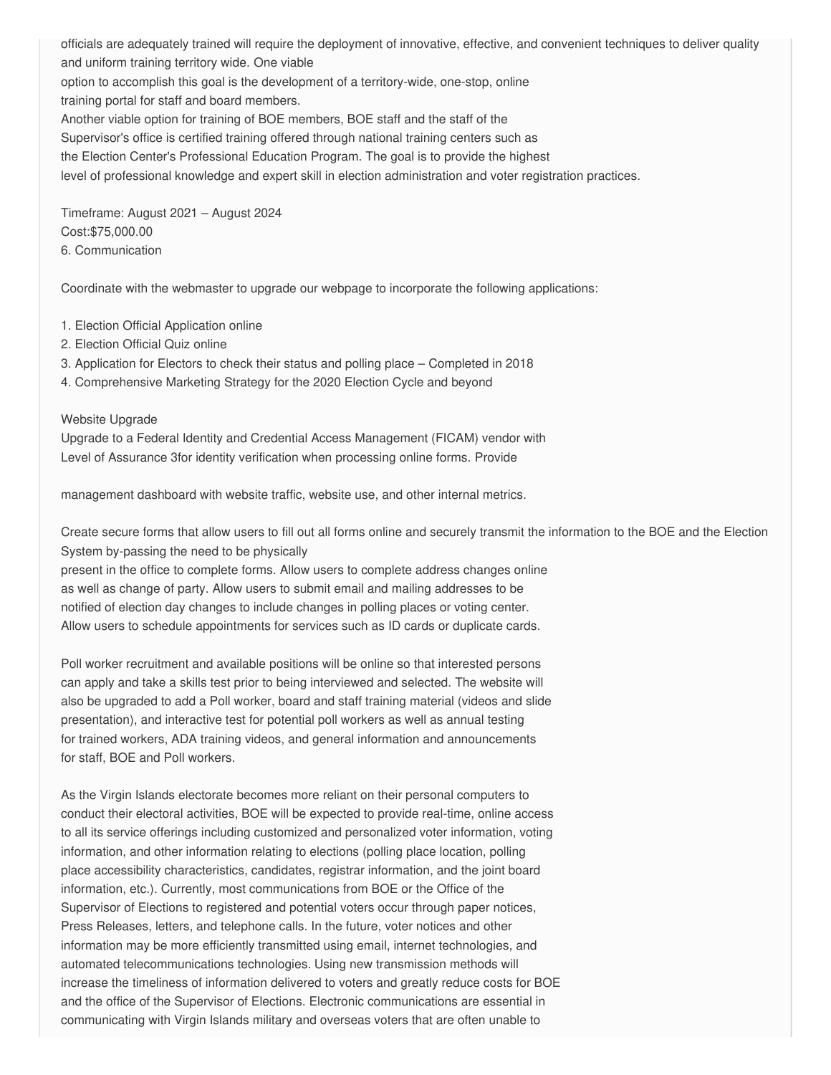officials are adequately trained will require the deployment of innovative, effective, and convenient techniques to deliver quality and uniform training territory wide. One viable option to accomplish this goal is the development of a territory-wide, one-stop, online training portal for staff and board members. Another viable option for training of BOE members, BOE staff and the staff of the Supervisor's office is certified training offered through national training centers such as the Election Center's Professional Education Program. The goal is to provide the highest level of professional knowledge and expert skill in election administration and voter registration practices.

 Timeframe: August 2021 – August 2024 [Cost:\\$75,000.00](https://Cost:$75,000.00) 6. Communication

Coordinate with the webmaster to upgrade our webpage to incorporate the following applications:

- 1. Election Official Application online
- 2. Election Official Quiz online
- 3. Application for Electors to check their status and polling place Completed in 2018
- 4. Comprehensive Marketing Strategy for the 2020 Election Cycle and beyond

#### Website Upgrade

 Upgrade to a Federal Identity and Credential Access Management (FICAM) vendor with Level of Assurance 3for identity verification when processing online forms. Provide

management dashboard with website traffic, website use, and other internal metrics.

 Create secure forms that allow users to fill out all forms online and securely transmit the information to the BOE and the Election System by-passing the need to be physically

 present in the office to complete forms. Allow users to complete address changes online as well as change of party. Allow users to submit email and mailing addresses to be notified of election day changes to include changes in polling places or voting center. Allow users to schedule appointments for services such as ID cards or duplicate cards.

 Poll worker recruitment and available positions will be online so that interested persons can apply and take a skills test prior to being interviewed and selected. The website will also be upgraded to add a Poll worker, board and staff training material (videos and slide presentation), and interactive test for potential poll workers as well as annual testing for trained workers, ADA training videos, and general information and announcements for staff, BOE and Poll workers.

 As the Virgin Islands electorate becomes more reliant on their personal computers to conduct their electoral activities, BOE will be expected to provide real-time, online access to all its service offerings including customized and personalized voter information, voting information, and other information relating to elections (polling place location, polling place accessibility characteristics, candidates, registrar information, and the joint board information, etc.). Currently, most communications from BOE or the Office of the Supervisor of Elections to registered and potential voters occur through paper notices, Press Releases, letters, and telephone calls. In the future, voter notices and other information may be more efficiently transmitted using email, internet technologies, and automated telecommunications technologies. Using new transmission methods will increase the timeliness of information delivered to voters and greatly reduce costs for BOE and the office of the Supervisor of Elections. Electronic communications are essential in communicating with Virgin Islands military and overseas voters that are often unable to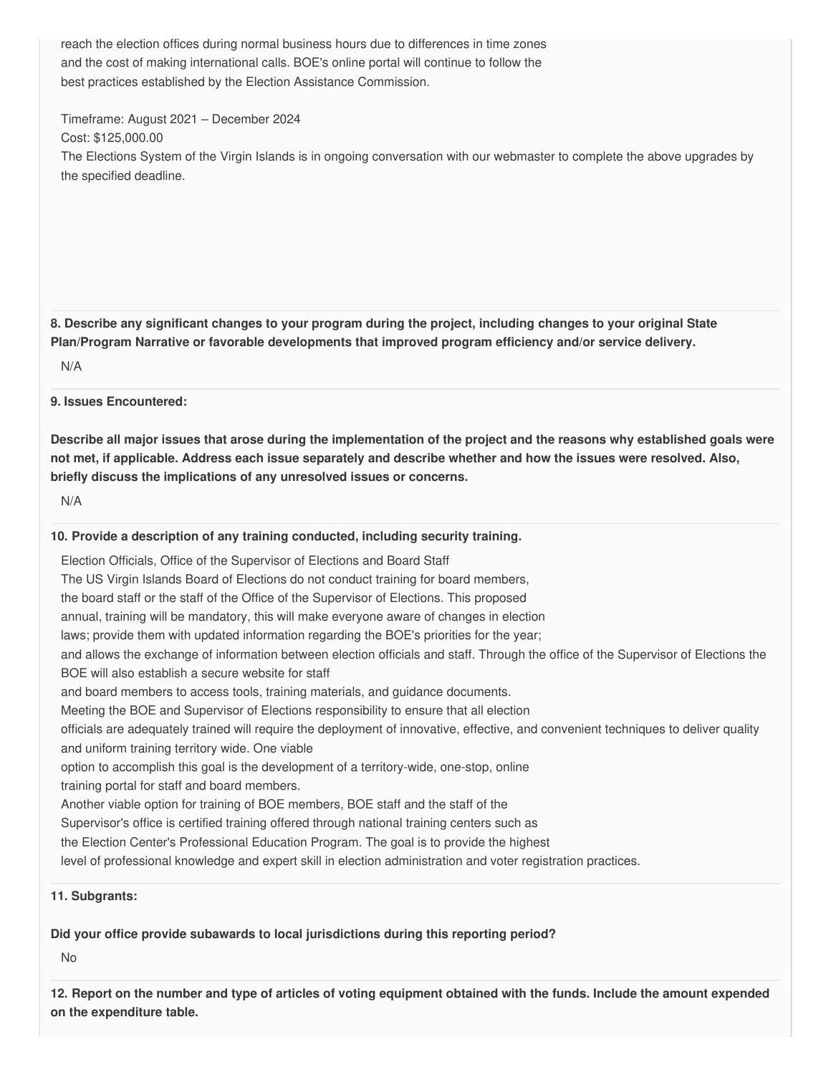reach the election offices during normal business hours due to differences in time zones and the cost of making international calls. BOE's online portal will continue to follow the best practices established by the Election Assistance Commission.

Timeframe: August 2021 – December 2024

Cost: [\\$125,000.00](https://125,000.00)

 The Elections System of the Virgin Islands is in ongoing conversation with our webmaster to complete the above upgrades by the specified deadline.

8. Describe any significant changes to your program during the project, including changes to your original State  **Plan/Program Narrative or favorable developments that improved program efficiency and/or service delivery.**

N/A

**9. Issues Encountered:**

Describe all major issues that arose during the implementation of the project and the reasons why established goals were not met, if applicable. Address each issue separately and describe whether and how the issues were resolved. Also,  **briefly discuss the implications of any unresolved issues or concerns.**

N/A

#### **10. Provide a description of any training conducted, including security training.**

Election Officials, Office of the Supervisor of Elections and Board Staff

The US Virgin Islands Board of Elections do not conduct training for board members,

the board staff or the staff of the Office of the Supervisor of Elections. This proposed

annual, training will be mandatory, this will make everyone aware of changes in election

laws; provide them with updated information regarding the BOE's priorities for the year;

 and allows the exchange of information between election officials and staff. Through the office of the Supervisor of Elections the BOE will also establish a secure website for staff

and board members to access tools, training materials, and guidance documents.

Meeting the BOE and Supervisor of Elections responsibility to ensure that all election

 officials are adequately trained will require the deployment of innovative, effective, and convenient techniques to deliver quality and uniform training territory wide. One viable

option to accomplish this goal is the development of a territory-wide, one-stop, online

training portal for staff and board members.

Another viable option for training of BOE members, BOE staff and the staff of the

Supervisor's office is certified training offered through national training centers such as

the Election Center's Professional Education Program. The goal is to provide the highest

level of professional knowledge and expert skill in election administration and voter registration practices.

#### **11. Subgrants:**

 **Did your office provide subawards to local jurisdictions during this reporting period?**

No

12. Report on the number and type of articles of voting equipment obtained with the funds. Include the amount expended  **on the expenditure table.**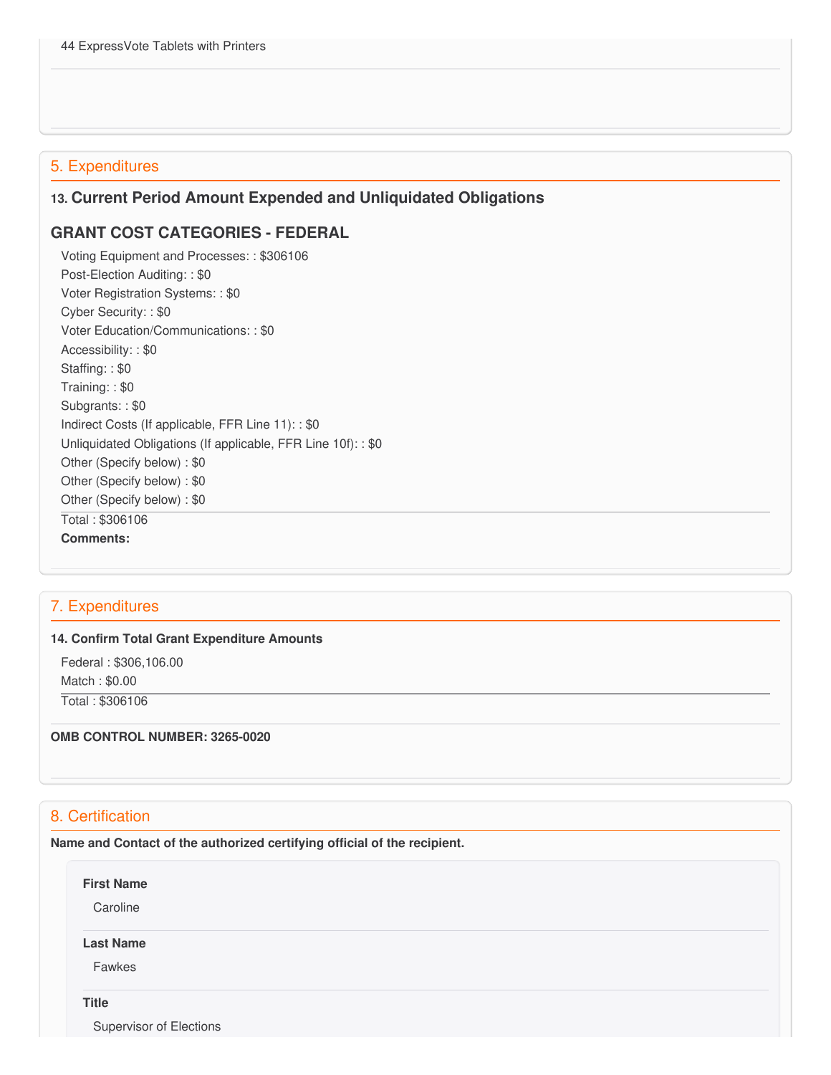## 5. Expenditures

### **13. Current Period Amount Expended and Unliquidated Obligations**

### **GRANT COST CATEGORIES - FEDERAL**

 Voting Equipment and Processes: : \$306106 Post-Election Auditing: : \$0 Voter Registration Systems: : \$0 Cyber Security: : \$0 Voter Education/Communications: : \$0 Accessibility: : \$0 Staffing: : \$0 Training: : \$0 Subgrants: : \$0 Indirect Costs (If applicable, FFR Line 11): : \$0 Unliquidated Obligations (If applicable, FFR Line 10f): : \$0 Other (Specify below) : \$0 Other (Specify below) : \$0 Other (Specify below) : \$0 Total : \$306106 **Comments:**

# 7. Expenditures

#### **14. Confirm Total Grant Expenditure Amounts**

 Federal : \$[306,106.00](https://306,106.00) Match : \$0.00

Total : \$306106

#### **OMB CONTROL NUMBER: 3265-0020**

# 8. Certification

 **Name and Contact of the authorized certifying official of the recipient.**

**First Name**

**Caroline** 

### **Last Name**

Fawkes

**Title**

Supervisor of Elections